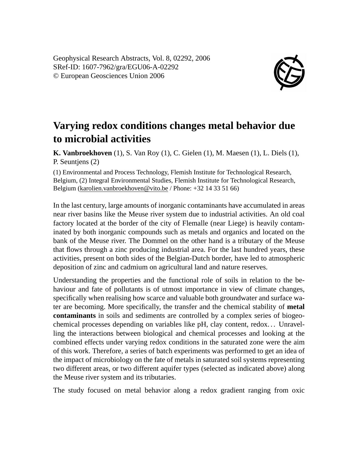Geophysical Research Abstracts, Vol. 8, 02292, 2006 SRef-ID: 1607-7962/gra/EGU06-A-02292 © European Geosciences Union 2006



## **Varying redox conditions changes metal behavior due to microbial activities**

**K. Vanbroekhoven** (1), S. Van Roy (1), C. Gielen (1), M. Maesen (1), L. Diels (1), P. Seuntjens (2)

(1) Environmental and Process Technology, Flemish Institute for Technological Research, Belgium, (2) Integral Environmental Studies, Flemish Institute for Technological Research, Belgium (karolien.vanbroekhoven@vito.be / Phone: +32 14 33 51 66)

In the last century, large amounts of inorganic contaminants have accumulated in areas near river basins like the Meuse river system due to industrial activities. An old coal factory located at the border of the city of Flemalle (near Liege) is heavily contaminated by both inorganic compounds such as metals and organics and located on the bank of the Meuse river. The Dommel on the other hand is a tributary of the Meuse that flows through a zinc producing industrial area. For the last hundred years, these activities, present on both sides of the Belgian-Dutch border, have led to atmospheric deposition of zinc and cadmium on agricultural land and nature reserves.

Understanding the properties and the functional role of soils in relation to the behaviour and fate of pollutants is of utmost importance in view of climate changes, specifically when realising how scarce and valuable both groundwater and surface water are becoming. More specifically, the transfer and the chemical stability of **metal contaminants** in soils and sediments are controlled by a complex series of biogeochemical processes depending on variables like pH, clay content, redox. . . Unravelling the interactions between biological and chemical processes and looking at the combined effects under varying redox conditions in the saturated zone were the aim of this work. Therefore, a series of batch experiments was performed to get an idea of the impact of microbiology on the fate of metals in saturated soil systems representing two different areas, or two different aquifer types (selected as indicated above) along the Meuse river system and its tributaries.

The study focused on metal behavior along a redox gradient ranging from oxic